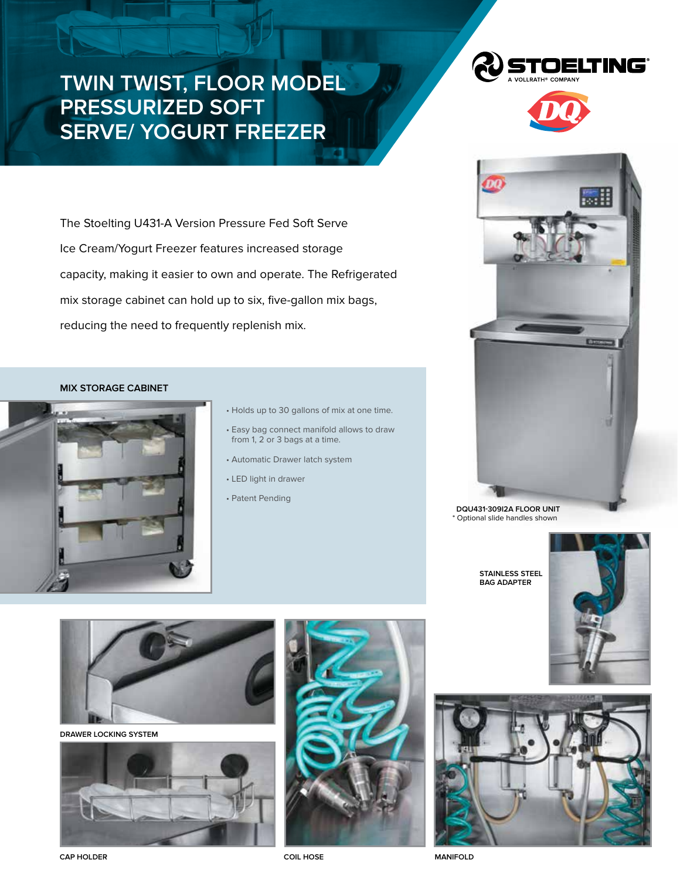## **Twin Twist, Floor Model Pressurized Soft Serve/ Yogurt Freezer**

OELTING°



**DQU431-309I2A Floor unit** \* Optional slide handles shown

**Stainless Steel bag adapter**





The Stoelting U431-A Version Pressure Fed Soft Serve Ice Cream/Yogurt Freezer features increased storage capacity, making it easier to own and operate. The Refrigerated mix storage cabinet can hold up to six, five-gallon mix bags, reducing the need to frequently replenish mix.

## **mix storage cabinet**

<u> La provincia de la provincia de la provincia de la provincia de la provincia de la provincia de la provincia </u>



- Holds up to 30 gallons of mix at one time.
- Easy bag connect manifold allows to draw from 1, 2 or 3 bags at a time.
- Automatic Drawer latch system
- LED light in drawer
- Patent Pending



**Drawer Locking system**





**CAP Holder Coil Hose**